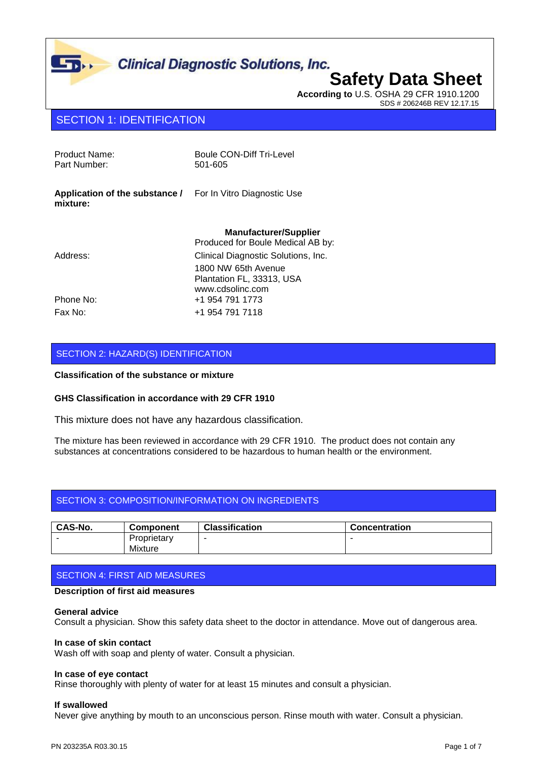**According to** U.S. OSHA 29 CFR 1910.1200 SDS # 206246B REV 12.17.15

### SECTION 1: IDENTIFICATION

| Product Name:<br>Part Number:              | Boule CON-Diff Tri-Level<br>501-605                                  |
|--------------------------------------------|----------------------------------------------------------------------|
| Application of the substance /<br>mixture: | For In Vitro Diagnostic Use                                          |
|                                            | <b>Manufacturer/Supplier</b><br>Produced for Boule Medical AB by:    |
| Address:                                   | Clinical Diagnostic Solutions, Inc.                                  |
|                                            | 1800 NW 65th Avenue<br>Plantation FL, 33313, USA<br>www.cdsolinc.com |
| Phone No:                                  | +1 954 791 1773                                                      |
| Fax No:                                    | +1 954 791 7118                                                      |

#### SECTION 2: HAZARD(S) IDENTIFICATION

#### **Classification of the substance or mixture**

#### **GHS Classification in accordance with 29 CFR 1910**

This mixture does not have any hazardous classification.

The mixture has been reviewed in accordance with 29 CFR 1910. The product does not contain any substances at concentrations considered to be hazardous to human health or the environment.

#### SECTION 3: COMPOSITION/INFORMATION ON INGREDIENTS

| <b>CAS-No.</b> | <b>Component</b> | <b>Classification</b>    | <b>Concentration</b> |
|----------------|------------------|--------------------------|----------------------|
|                | Proprietary      | $\overline{\phantom{a}}$ |                      |
|                | Mixture          |                          |                      |

#### SECTION 4: FIRST AID MEASURES

#### **Description of first aid measures**

#### **General advice**

Consult a physician. Show this safety data sheet to the doctor in attendance. Move out of dangerous area.

#### **In case of skin contact**

Wash off with soap and plenty of water. Consult a physician.

#### **In case of eye contact**

Rinse thoroughly with plenty of water for at least 15 minutes and consult a physician.

#### **If swallowed**

Never give anything by mouth to an unconscious person. Rinse mouth with water. Consult a physician.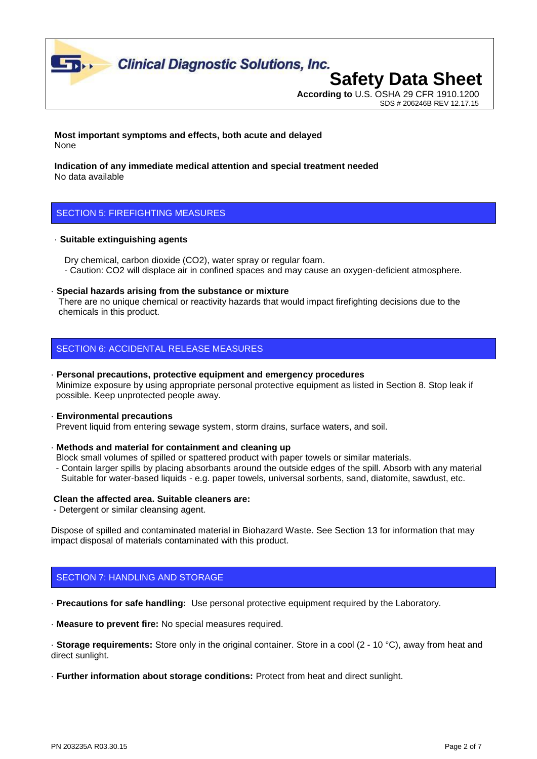

## **According to** U.S. OSHA 29 CFR 1910.1200

SDS # 206246B REV 12.17.15

**Most important symptoms and effects, both acute and delayed** None

**Indication of any immediate medical attention and special treatment needed** No data available

### SECTION 5: FIREFIGHTING MEASURES

#### · **Suitable extinguishing agents**

 Dry chemical, carbon dioxide (CO2), water spray or regular foam. - Caution: CO2 will displace air in confined spaces and may cause an oxygen-deficient atmosphere.

· **Special hazards arising from the substance or mixture**

 There are no unique chemical or reactivity hazards that would impact firefighting decisions due to the chemicals in this product.

### SECTION 6: ACCIDENTAL RELEASE MEASURES

· **Personal precautions, protective equipment and emergency procedures** Minimize exposure by using appropriate personal protective equipment as listed in Section 8. Stop leak if possible. Keep unprotected people away.

#### · **Environmental precautions**

Prevent liquid from entering sewage system, storm drains, surface waters, and soil.

· **Methods and material for containment and cleaning up**

Block small volumes of spilled or spattered product with paper towels or similar materials.

 - Contain larger spills by placing absorbants around the outside edges of the spill. Absorb with any material Suitable for water-based liquids - e.g. paper towels, universal sorbents, sand, diatomite, sawdust, etc.

#### **Clean the affected area. Suitable cleaners are:**

- Detergent or similar cleansing agent.

Dispose of spilled and contaminated material in Biohazard Waste. See Section 13 for information that may impact disposal of materials contaminated with this product.

### SECTION 7: HANDLING AND STORAGE

· **Precautions for safe handling:** Use personal protective equipment required by the Laboratory.

· **Measure to prevent fire:** No special measures required.

· **Storage requirements:** Store only in the original container. Store in a cool (2 - 10 °C), away from heat and direct sunlight.

· **Further information about storage conditions:** Protect from heat and direct sunlight.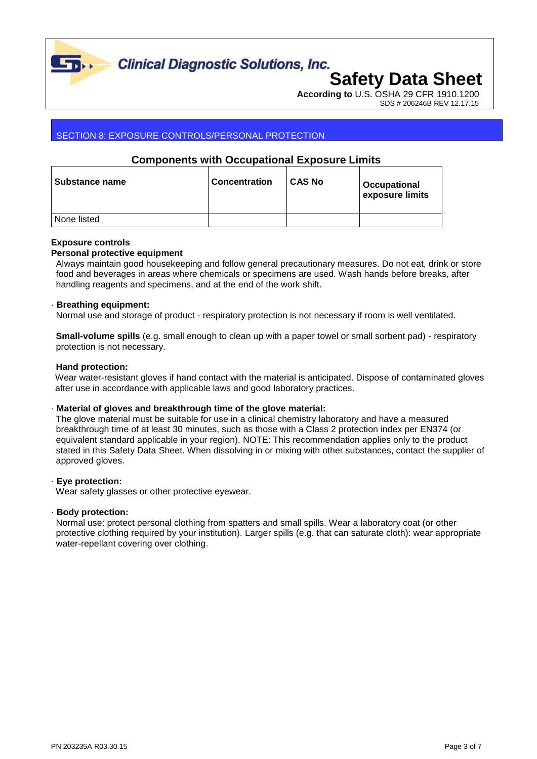

**Clinical Diagnostic Solutions, Inc.** 

## **Safety Data Sheet**

**According to** U.S. OSHA 29 CFR 1910.1200 SDS # 206246B REV 12.17.15

#### SECTION 8: EXPOSURE CONTROLS/PERSONAL PROTECTION

### **Components with Occupational Exposure Limits**

| Substance name | <b>Concentration</b> | <b>CAS No</b> | Occupational<br>exposure limits |
|----------------|----------------------|---------------|---------------------------------|
| None listed    |                      |               |                                 |

#### **Exposure controls**

#### **Personal protective equipment**

 Always maintain good housekeeping and follow general precautionary measures. Do not eat, drink or store food and beverages in areas where chemicals or specimens are used. Wash hands before breaks, after handling reagents and specimens, and at the end of the work shift.

#### · **Breathing equipment:**

Normal use and storage of product - respiratory protection is not necessary if room is well ventilated.

 **Small-volume spills** (e.g. small enough to clean up with a paper towel or small sorbent pad) - respiratory protection is not necessary.

#### **Hand protection:**

Wear water-resistant gloves if hand contact with the material is anticipated. Dispose of contaminated gloves after use in accordance with applicable laws and good laboratory practices.

#### · **Material of gloves and breakthrough time of the glove material:**

 The glove material must be suitable for use in a clinical chemistry laboratory and have a measured breakthrough time of at least 30 minutes, such as those with a Class 2 protection index per EN374 (or equivalent standard applicable in your region). NOTE: This recommendation applies only to the product stated in this Safety Data Sheet. When dissolving in or mixing with other substances, contact the supplier of approved gloves.

#### · **Eye protection:**

Wear safety glasses or other protective eyewear.

#### · **Body protection:**

 Normal use: protect personal clothing from spatters and small spills. Wear a laboratory coat (or other protective clothing required by your institution). Larger spills (e.g. that can saturate cloth): wear appropriate water-repellant covering over clothing.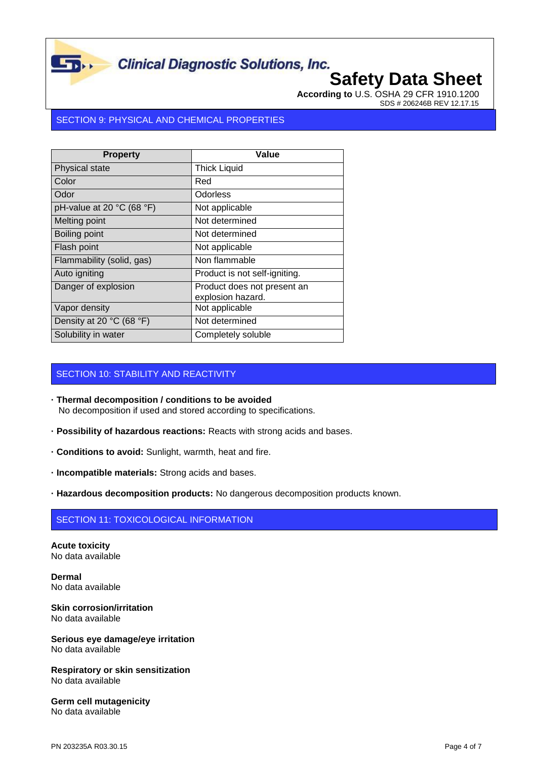**According to** U.S. OSHA 29 CFR 1910.1200 SDS # 206246B REV 12.17.15

#### SECTION 9: PHYSICAL AND CHEMICAL PROPERTIES

 $\mathbf{L}_{\mathbf{D}}$ 

| <b>Property</b>               | Value                                            |
|-------------------------------|--------------------------------------------------|
| Physical state                | <b>Thick Liquid</b>                              |
| Color                         | Red                                              |
| Odor                          | Odorless                                         |
| pH-value at 20 °C (68 °F)     | Not applicable                                   |
| Melting point                 | Not determined                                   |
| Boiling point                 | Not determined                                   |
| Flash point                   | Not applicable                                   |
| Flammability (solid, gas)     | Non flammable                                    |
| Auto igniting                 | Product is not self-igniting.                    |
| Danger of explosion           | Product does not present an<br>explosion hazard. |
| Vapor density                 | Not applicable                                   |
| Density at 20 $°C$ (68 $°F$ ) | Not determined                                   |
| Solubility in water           | Completely soluble                               |

### SECTION 10: STABILITY AND REACTIVITY

- **· Thermal decomposition / conditions to be avoided** No decomposition if used and stored according to specifications.
- **· Possibility of hazardous reactions:** Reacts with strong acids and bases.
- **· Conditions to avoid:** Sunlight, warmth, heat and fire.
- **· Incompatible materials:** Strong acids and bases.
- **· Hazardous decomposition products:** No dangerous decomposition products known.

#### SECTION 11: TOXICOLOGICAL INFORMATION

**Acute toxicity** No data available

**Dermal** No data available

**Skin corrosion/irritation** No data available

**Serious eye damage/eye irritation** No data available

**Respiratory or skin sensitization** No data available

**Germ cell mutagenicity** No data available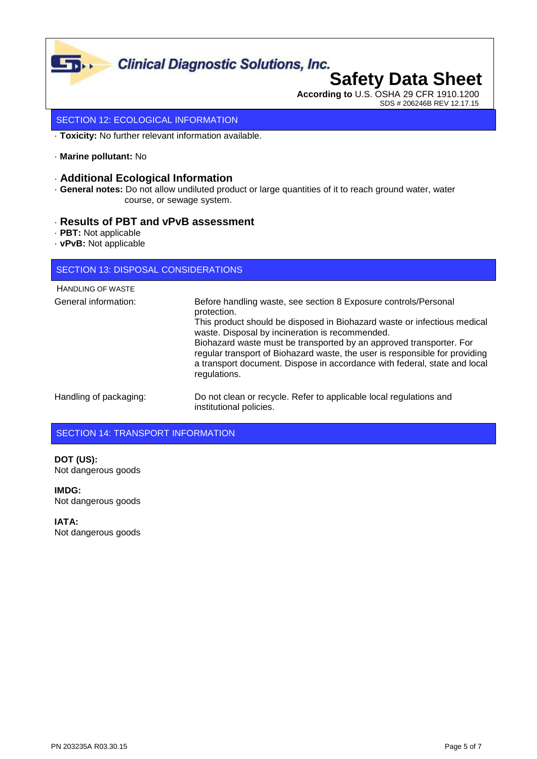

## **According to** U.S. OSHA 29 CFR 1910.1200

SDS # 206246B REV 12.17.15

#### SECTION 12: ECOLOGICAL INFORMATION

· **Toxicity:** No further relevant information available.

· **Marine pollutant:** No

#### · **Additional Ecological Information**

· **General notes:** Do not allow undiluted product or large quantities of it to reach ground water, water course, or sewage system.

#### · **Results of PBT and vPvB assessment**

- · **PBT:** Not applicable
- · **vPvB:** Not applicable

#### SECTION 13: DISPOSAL CONSIDERATIONS

| <b>HANDLING OF WASTE</b> |                                                                                                                                                                                                                                                                                                                                                                                                                                                                  |
|--------------------------|------------------------------------------------------------------------------------------------------------------------------------------------------------------------------------------------------------------------------------------------------------------------------------------------------------------------------------------------------------------------------------------------------------------------------------------------------------------|
| General information:     | Before handling waste, see section 8 Exposure controls/Personal<br>protection.<br>This product should be disposed in Biohazard waste or infectious medical<br>waste. Disposal by incineration is recommended.<br>Biohazard waste must be transported by an approved transporter. For<br>regular transport of Biohazard waste, the user is responsible for providing<br>a transport document. Dispose in accordance with federal, state and local<br>regulations. |
| Handling of packaging:   | Do not clean or recycle. Refer to applicable local regulations and<br>institutional policies.                                                                                                                                                                                                                                                                                                                                                                    |

### SECTION 14: TRANSPORT INFORMATION

**DOT (US):** Not dangerous goods

**IMDG:** Not dangerous goods

**IATA:** Not dangerous goods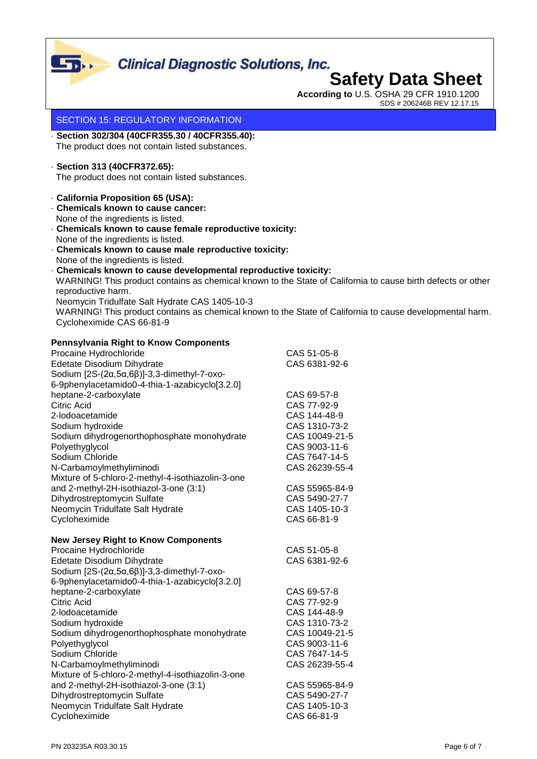

**According to** U.S. OSHA 29 CFR 1910.1200 SDS # 206246B REV 12.17.15

#### SECTION 15: REGULATORY INFORMATION

· **Section 302/304 (40CFR355.30 / 40CFR355.40):** The product does not contain listed substances.

### · **Section 313 (40CFR372.65):**

The product does not contain listed substances.

- · **California Proposition 65 (USA):**
- · **Chemicals known to cause cancer:** None of the ingredients is listed.
- · **Chemicals known to cause female reproductive toxicity:** None of the ingredients is listed.
- · **Chemicals known to cause male reproductive toxicity:** None of the ingredients is listed.
- · **Chemicals known to cause developmental reproductive toxicity:** WARNING! This product contains as chemical known to the State of California to cause birth defects or other reproductive harm. Neomycin Tridulfate Salt Hydrate CAS 1405-10-3 WARNING! This product contains as chemical known to the State of California to cause developmental harm. Cycloheximide CAS 66-81-9

#### **Pennsylvania Right to Know Components**

| Procaine Hydrochloride                                      | CAS 51-05-8    |
|-------------------------------------------------------------|----------------|
| Edetate Disodium Dihydrate                                  | CAS 6381-92-6  |
| Sodium $[2S-(2\alpha,5\alpha,6\beta)]-3,3$ -dimethyl-7-oxo- |                |
| 6-9phenylacetamido0-4-thia-1-azabicyclo[3.2.0]              |                |
| heptane-2-carboxylate                                       | CAS 69-57-8    |
| Citric Acid                                                 | CAS 77-92-9    |
| 2-lodoacetamide                                             | CAS 144-48-9   |
| Sodium hydroxide                                            | CAS 1310-73-2  |
| Sodium dihydrogenorthophosphate monohydrate                 | CAS 10049-21-5 |
| Polyethyglycol                                              | CAS 9003-11-6  |
| Sodium Chloride                                             | CAS 7647-14-5  |
| N-Carbamoylmethyliminodi                                    | CAS 26239-55-4 |
| Mixture of 5-chloro-2-methyl-4-isothiazolin-3-one           |                |
| and 2-methyl-2H-isothiazol-3-one (3:1)                      | CAS 55965-84-9 |
| Dihydrostreptomycin Sulfate                                 | CAS 5490-27-7  |
| Neomycin Tridulfate Salt Hydrate                            | CAS 1405-10-3  |
| Cycloheximide                                               | CAS 66-81-9    |
| <b>New Jersey Right to Know Components</b>                  |                |
| Procaine Hydrochloride                                      | CAS 51-05-8    |

| CAS 6381-92-6  |
|----------------|
|                |
|                |
| CAS 69-57-8    |
| CAS 77-92-9    |
| CAS 144-48-9   |
| CAS 1310-73-2  |
| CAS 10049-21-5 |
| CAS 9003-11-6  |
| CAS 7647-14-5  |
| CAS 26239-55-4 |
|                |
| CAS 55965-84-9 |
| CAS 5490-27-7  |
| CAS 1405-10-3  |
| CAS 66-81-9    |
|                |